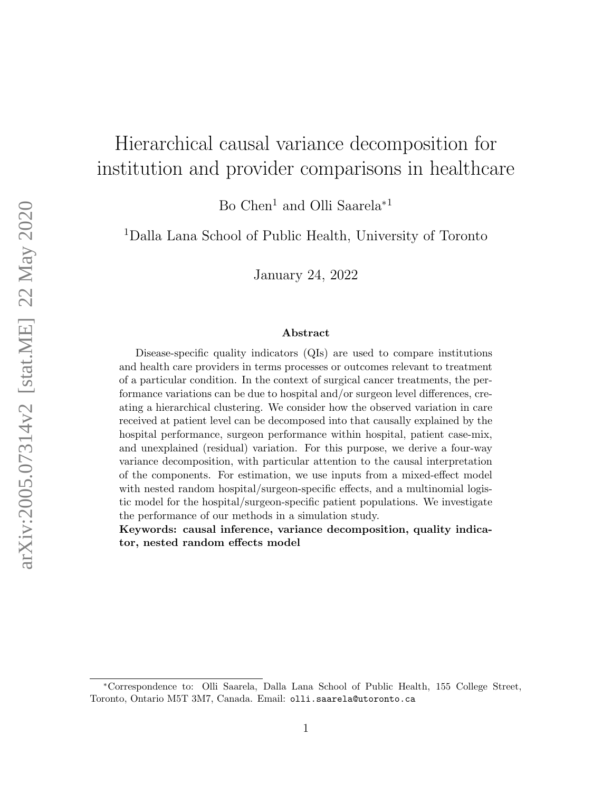# Hierarchical causal variance decomposition for institution and provider comparisons in healthcare

Bo Chen<sup>1</sup> and Olli Saarela<sup>∗1</sup>

<sup>1</sup>Dalla Lana School of Public Health, University of Toronto

January 24, 2022

#### Abstract

Disease-specific quality indicators (QIs) are used to compare institutions and health care providers in terms processes or outcomes relevant to treatment of a particular condition. In the context of surgical cancer treatments, the performance variations can be due to hospital and/or surgeon level differences, creating a hierarchical clustering. We consider how the observed variation in care received at patient level can be decomposed into that causally explained by the hospital performance, surgeon performance within hospital, patient case-mix, and unexplained (residual) variation. For this purpose, we derive a four-way variance decomposition, with particular attention to the causal interpretation of the components. For estimation, we use inputs from a mixed-effect model with nested random hospital/surgeon-specific effects, and a multinomial logistic model for the hospital/surgeon-specific patient populations. We investigate the performance of our methods in a simulation study.

Keywords: causal inference, variance decomposition, quality indicator, nested random effects model

<sup>∗</sup>Correspondence to: Olli Saarela, Dalla Lana School of Public Health, 155 College Street, Toronto, Ontario M5T 3M7, Canada. Email: olli.saarela@utoronto.ca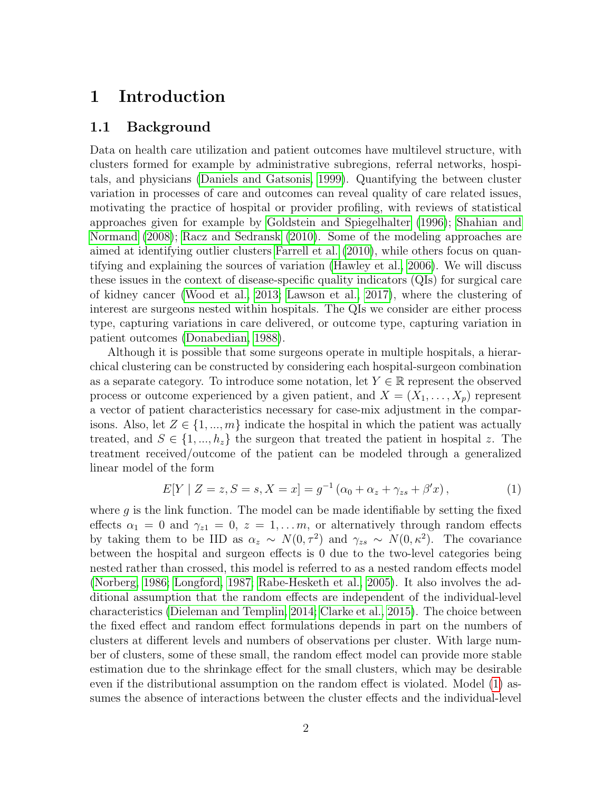# 1 Introduction

### 1.1 Background

Data on health care utilization and patient outcomes have multilevel structure, with clusters formed for example by administrative subregions, referral networks, hospitals, and physicians [\(Daniels and Gatsonis, 1999\)](#page-19-0). Quantifying the between cluster variation in processes of care and outcomes can reveal quality of care related issues, motivating the practice of hospital or provider profiling, with reviews of statistical approaches given for example by [Goldstein and Spiegelhalter](#page-19-1) [\(1996\)](#page-19-1); [Shahian and](#page-20-0) [Normand](#page-20-0) [\(2008\)](#page-20-0); [Racz and Sedransk](#page-20-1) [\(2010\)](#page-20-1). Some of the modeling approaches are aimed at identifying outlier clusters [Farrell et al.](#page-19-2) [\(2010\)](#page-19-2), while others focus on quantifying and explaining the sources of variation [\(Hawley et al., 2006\)](#page-19-3). We will discuss these issues in the context of disease-specific quality indicators (QIs) for surgical care of kidney cancer [\(Wood et al., 2013;](#page-21-0) [Lawson et al., 2017\)](#page-19-4), where the clustering of interest are surgeons nested within hospitals. The QIs we consider are either process type, capturing variations in care delivered, or outcome type, capturing variation in patient outcomes [\(Donabedian, 1988\)](#page-19-5).

Although it is possible that some surgeons operate in multiple hospitals, a hierarchical clustering can be constructed by considering each hospital-surgeon combination as a separate category. To introduce some notation, let  $Y \in \mathbb{R}$  represent the observed process or outcome experienced by a given patient, and  $X = (X_1, \ldots, X_p)$  represent a vector of patient characteristics necessary for case-mix adjustment in the comparisons. Also, let  $Z \in \{1, ..., m\}$  indicate the hospital in which the patient was actually treated, and  $S \in \{1, ..., h_z\}$  the surgeon that treated the patient in hospital z. The treatment received/outcome of the patient can be modeled through a generalized linear model of the form

<span id="page-1-0"></span>
$$
E[Y \mid Z = z, S = s, X = x] = g^{-1}(\alpha_0 + \alpha_z + \gamma_{zs} + \beta'x), \tag{1}
$$

where  $g$  is the link function. The model can be made identifiable by setting the fixed effects  $\alpha_1 = 0$  and  $\gamma_{z1} = 0$ ,  $z = 1, \ldots m$ , or alternatively through random effects by taking them to be IID as  $\alpha_z \sim N(0, \tau^2)$  and  $\gamma_{zs} \sim N(0, \kappa^2)$ . The covariance between the hospital and surgeon effects is 0 due to the two-level categories being nested rather than crossed, this model is referred to as a nested random effects model [\(Norberg, 1986;](#page-20-2) [Longford, 1987;](#page-20-3) [Rabe-Hesketh et al., 2005\)](#page-20-4). It also involves the additional assumption that the random effects are independent of the individual-level characteristics [\(Dieleman and Templin, 2014;](#page-19-6) [Clarke et al., 2015\)](#page-19-7). The choice between the fixed effect and random effect formulations depends in part on the numbers of clusters at different levels and numbers of observations per cluster. With large number of clusters, some of these small, the random effect model can provide more stable estimation due to the shrinkage effect for the small clusters, which may be desirable even if the distributional assumption on the random effect is violated. Model [\(1\)](#page-1-0) assumes the absence of interactions between the cluster effects and the individual-level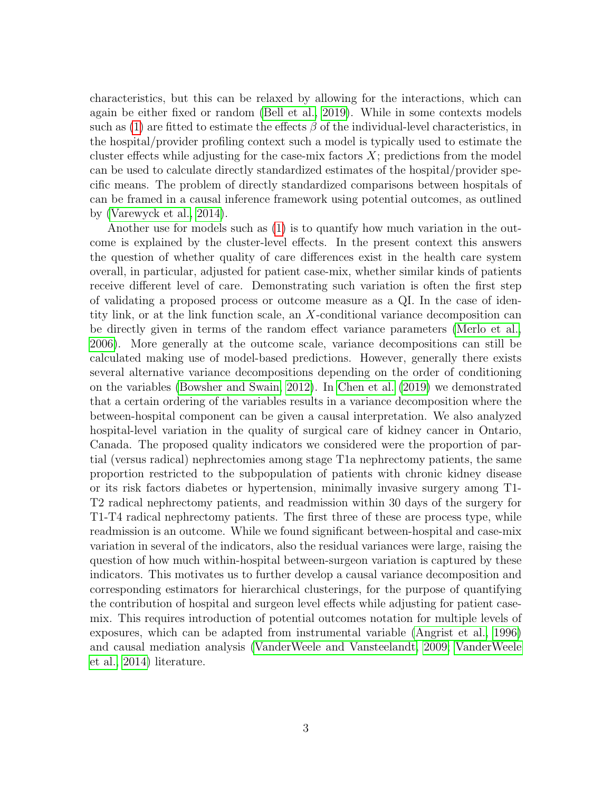characteristics, but this can be relaxed by allowing for the interactions, which can again be either fixed or random [\(Bell et al., 2019\)](#page-18-0). While in some contexts models such as [\(1\)](#page-1-0) are fitted to estimate the effects  $\beta$  of the individual-level characteristics, in the hospital/provider profiling context such a model is typically used to estimate the cluster effects while adjusting for the case-mix factors  $X$ ; predictions from the model can be used to calculate directly standardized estimates of the hospital/provider specific means. The problem of directly standardized comparisons between hospitals of can be framed in a causal inference framework using potential outcomes, as outlined by [\(Varewyck et al., 2014\)](#page-20-5).

Another use for models such as [\(1\)](#page-1-0) is to quantify how much variation in the outcome is explained by the cluster-level effects. In the present context this answers the question of whether quality of care differences exist in the health care system overall, in particular, adjusted for patient case-mix, whether similar kinds of patients receive different level of care. Demonstrating such variation is often the first step of validating a proposed process or outcome measure as a QI. In the case of identity link, or at the link function scale, an X-conditional variance decomposition can be directly given in terms of the random effect variance parameters [\(Merlo et al.,](#page-20-6) [2006\)](#page-20-6). More generally at the outcome scale, variance decompositions can still be calculated making use of model-based predictions. However, generally there exists several alternative variance decompositions depending on the order of conditioning on the variables [\(Bowsher and Swain, 2012\)](#page-18-1). In [Chen et al.](#page-18-2) [\(2019\)](#page-18-2) we demonstrated that a certain ordering of the variables results in a variance decomposition where the between-hospital component can be given a causal interpretation. We also analyzed hospital-level variation in the quality of surgical care of kidney cancer in Ontario, Canada. The proposed quality indicators we considered were the proportion of partial (versus radical) nephrectomies among stage T1a nephrectomy patients, the same proportion restricted to the subpopulation of patients with chronic kidney disease or its risk factors diabetes or hypertension, minimally invasive surgery among T1- T2 radical nephrectomy patients, and readmission within 30 days of the surgery for T1-T4 radical nephrectomy patients. The first three of these are process type, while readmission is an outcome. While we found significant between-hospital and case-mix variation in several of the indicators, also the residual variances were large, raising the question of how much within-hospital between-surgeon variation is captured by these indicators. This motivates us to further develop a causal variance decomposition and corresponding estimators for hierarchical clusterings, for the purpose of quantifying the contribution of hospital and surgeon level effects while adjusting for patient casemix. This requires introduction of potential outcomes notation for multiple levels of exposures, which can be adapted from instrumental variable [\(Angrist et al., 1996\)](#page-18-3) and causal mediation analysis [\(VanderWeele and Vansteelandt, 2009;](#page-20-7) [VanderWeele](#page-20-8) [et al., 2014\)](#page-20-8) literature.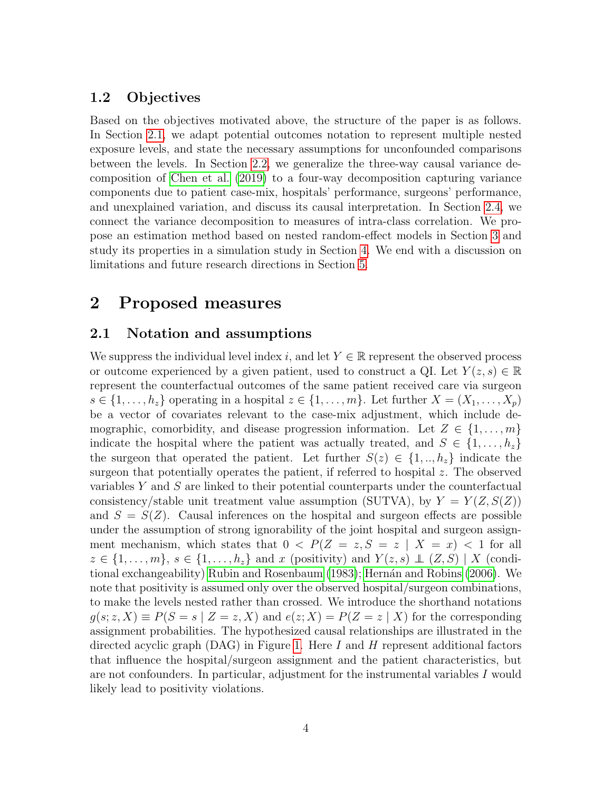### 1.2 Objectives

Based on the objectives motivated above, the structure of the paper is as follows. In Section [2.1,](#page-3-0) we adapt potential outcomes notation to represent multiple nested exposure levels, and state the necessary assumptions for unconfounded comparisons between the levels. In Section [2.2,](#page-5-0) we generalize the three-way causal variance decomposition of [Chen et al.](#page-18-2) [\(2019\)](#page-18-2) to a four-way decomposition capturing variance components due to patient case-mix, hospitals' performance, surgeons' performance, and unexplained variation, and discuss its causal interpretation. In Section [2.4,](#page-9-0) we connect the variance decomposition to measures of intra-class correlation. We propose an estimation method based on nested random-effect models in Section [3](#page-11-0) and study its properties in a simulation study in Section [4.](#page-13-0) We end with a discussion on limitations and future research directions in Section [5.](#page-14-0)

# 2 Proposed measures

### <span id="page-3-0"></span>2.1 Notation and assumptions

We suppress the individual level index i, and let  $Y \in \mathbb{R}$  represent the observed process or outcome experienced by a given patient, used to construct a QI. Let  $Y(z, s) \in \mathbb{R}$ represent the counterfactual outcomes of the same patient received care via surgeon  $s \in \{1, \ldots, h_z\}$  operating in a hospital  $z \in \{1, \ldots, m\}$ . Let further  $X = (X_1, \ldots, X_p)$ be a vector of covariates relevant to the case-mix adjustment, which include demographic, comorbidity, and disease progression information. Let  $Z \in \{1, \ldots, m\}$ indicate the hospital where the patient was actually treated, and  $S \in \{1, \ldots, h_z\}$ the surgeon that operated the patient. Let further  $S(z) \in \{1, ..., h_z\}$  indicate the surgeon that potentially operates the patient, if referred to hospital z. The observed variables Y and S are linked to their potential counterparts under the counterfactual consistency/stable unit treatment value assumption (SUTVA), by  $Y = Y(Z, S(Z))$ and  $S = S(Z)$ . Causal inferences on the hospital and surgeon effects are possible under the assumption of strong ignorability of the joint hospital and surgeon assignment mechanism, which states that  $0 \leq P(Z = z, S = z | X = x) \leq 1$  for all  $z \in \{1, \ldots, m\}, s \in \{1, \ldots, h_z\}$  and x (positivity) and  $Y(z, s) \perp (Z, S) \mid X$  (condi-tional exchangeability) [Rubin and Rosenbaum](#page-20-9) [\(1983\)](#page-20-9); Hernán and Robins [\(2006\)](#page-19-8). We note that positivity is assumed only over the observed hospital/surgeon combinations, to make the levels nested rather than crossed. We introduce the shorthand notations  $q(s; z, X) \equiv P(S = s | Z = z, X)$  and  $e(z; X) = P(Z = z | X)$  for the corresponding assignment probabilities. The hypothesized causal relationships are illustrated in the directed acyclic graph (DAG) in Figure [1.](#page-4-0) Here I and H represent additional factors that influence the hospital/surgeon assignment and the patient characteristics, but are not confounders. In particular, adjustment for the instrumental variables I would likely lead to positivity violations.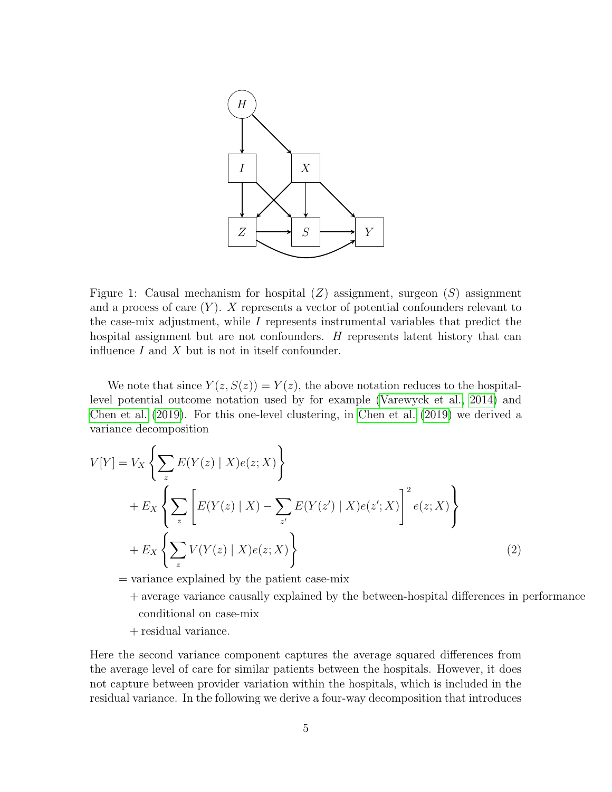<span id="page-4-0"></span>

Figure 1: Causal mechanism for hospital  $(Z)$  assignment, surgeon  $(S)$  assignment and a process of care  $(Y)$ . X represents a vector of potential confounders relevant to the case-mix adjustment, while I represents instrumental variables that predict the hospital assignment but are not confounders. H represents latent history that can influence  $I$  and  $X$  but is not in itself confounder.

We note that since  $Y(z, S(z)) = Y(z)$ , the above notation reduces to the hospitallevel potential outcome notation used by for example [\(Varewyck et al., 2014\)](#page-20-5) and [Chen et al.](#page-18-2) [\(2019\)](#page-18-2). For this one-level clustering, in [Chen et al.](#page-18-2) [\(2019\)](#page-18-2) we derived a variance decomposition

$$
V[Y] = V_X \left\{ \sum_z E(Y(z) | X)e(z; X) \right\}
$$
  
+ 
$$
E_X \left\{ \sum_z \left[ E(Y(z) | X) - \sum_{z'} E(Y(z') | X)e(z'; X) \right]^2 e(z; X) \right\}
$$
  
+ 
$$
E_X \left\{ \sum_z V(Y(z) | X)e(z; X) \right\}
$$
 (2)

= variance explained by the patient case-mix

- <span id="page-4-1"></span>+ average variance causally explained by the between-hospital differences in performance conditional on case-mix
- + residual variance.

Here the second variance component captures the average squared differences from the average level of care for similar patients between the hospitals. However, it does not capture between provider variation within the hospitals, which is included in the residual variance. In the following we derive a four-way decomposition that introduces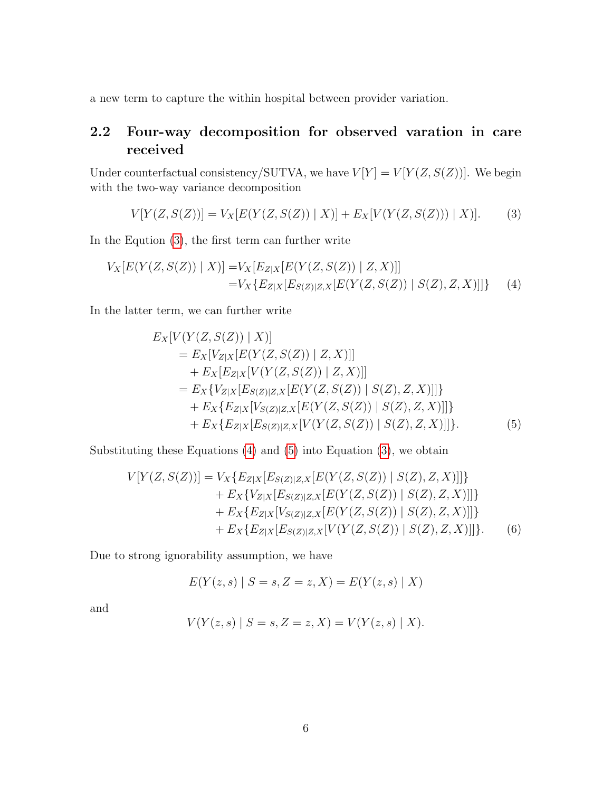a new term to capture the within hospital between provider variation.

### <span id="page-5-0"></span>2.2 Four-way decomposition for observed varation in care received

Under counterfactual consistency/SUTVA, we have  $V[Y] = V[Y(Z, S(Z))]$ . We begin with the two-way variance decomposition

<span id="page-5-1"></span>
$$
V[Y(Z, S(Z))] = V_X[E(Y(Z, S(Z)) | X)] + E_X[V(Y(Z, S(Z))) | X].
$$
 (3)

In the Eqution [\(3\)](#page-5-1), the first term can further write

$$
V_X[E(Y(Z, S(Z)) | X)] = V_X[E_{Z|X}[E(Y(Z, S(Z)) | Z, X)]]
$$
  
= 
$$
V_X\{E_{Z|X}[E_{S(Z)|Z,X}[E(Y(Z, S(Z)) | S(Z), Z, X)]]\}
$$
 (4)

In the latter term, we can further write

<span id="page-5-2"></span>
$$
E_X[V(Y(Z, S(Z)) | X)]
$$
  
=  $E_X[V_{Z|X}[E(Y(Z, S(Z)) | Z, X)]]$   
+  $E_X[E_{Z|X}[V(Y(Z, S(Z)) | Z, X)]]$   
=  $E_X\{V_{Z|X}[E_{S(Z)|Z,X}[E(Y(Z, S(Z)) | S(Z), Z, X)]]\}$   
+  $E_X\{E_{Z|X}[V_{S(Z)|Z,X}[E(Y(Z, S(Z)) | S(Z), Z, X)]]\}$   
+  $E_X\{E_{Z|X}[E_{S(Z)|Z,X}[V(Y(Z, S(Z)) | S(Z), Z, X)]]\}.$  (5)

Substituting these Equations  $(4)$  and  $(5)$  into Equation  $(3)$ , we obtain

$$
V[Y(Z, S(Z))] = V_X\{E_{Z|X}[E_{S(Z)|Z,X}[E(Y(Z, S(Z)) | S(Z), Z, X)]]\} + E_X\{V_{Z|X}[E_{S(Z)|Z,X}[E(Y(Z, S(Z)) | S(Z), Z, X)]]\} + E_X\{E_{Z|X}[V_{S(Z)|Z,X}[E(Y(Z, S(Z)) | S(Z), Z, X)]]\} + E_X\{E_{Z|X}[E_{S(Z)|Z,X}[V(Y(Z, S(Z)) | S(Z), Z, X)]]\}.
$$
 (6)

Due to strong ignorability assumption, we have

<span id="page-5-3"></span>
$$
E(Y(z, s) | S = s, Z = z, X) = E(Y(z, s) | X)
$$

and

$$
V(Y(z, s) | S = s, Z = z, X) = V(Y(z, s) | X).
$$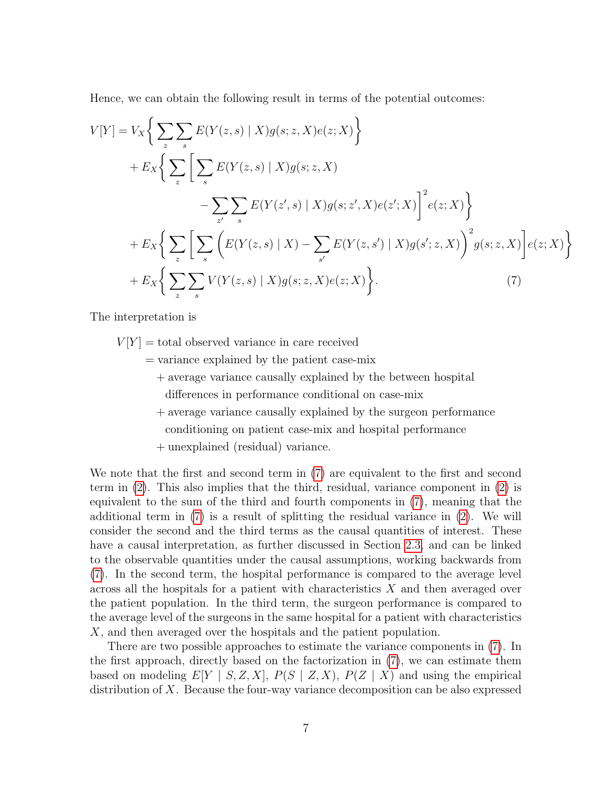Hence, we can obtain the following result in terms of the potential outcomes:

$$
V[Y] = V_X \Big\{ \sum_{z} \sum_{s} E(Y(z, s) | X) g(s; z, X) e(z; X) \Big\} + E_X \Big\{ \sum_{z} \Big[ \sum_{s} E(Y(z, s) | X) g(s; z, X) - \sum_{z'} \sum_{s} E(Y(z', s) | X) g(s; z', X) e(z'; X) \Big]^2 e(z; X) \Big\} + E_X \Big\{ \sum_{z} \Big[ \sum_{s} \Big( E(Y(z, s) | X) - \sum_{s'} E(Y(z, s') | X) g(s'; z, X) \Big)^2 g(s; z, X) \Big] e(z; X) \Big\} + E_X \Big\{ \sum_{z} \sum_{s} V(Y(z, s) | X) g(s; z, X) e(z; X) \Big\}.
$$
 (7)

The interpretation is

 $V[Y] =$  total observed variance in care received

= variance explained by the patient case-mix

- <span id="page-6-0"></span>+ average variance causally explained by the between hospital
	- differences in performance conditional on case-mix
- + average variance causally explained by the surgeon performance
	- conditioning on patient case-mix and hospital performance
- + unexplained (residual) variance.

We note that the first and second term in [\(7\)](#page-6-0) are equivalent to the first and second term in [\(2\)](#page-4-1). This also implies that the third, residual, variance component in [\(2\)](#page-4-1) is equivalent to the sum of the third and fourth components in [\(7\)](#page-6-0), meaning that the additional term in [\(7\)](#page-6-0) is a result of splitting the residual variance in [\(2\)](#page-4-1). We will consider the second and the third terms as the causal quantities of interest. These have a causal interpretation, as further discussed in Section [2.3,](#page-7-0) and can be linked to the observable quantities under the causal assumptions, working backwards from [\(7\)](#page-6-0). In the second term, the hospital performance is compared to the average level across all the hospitals for a patient with characteristics X and then averaged over the patient population. In the third term, the surgeon performance is compared to the average level of the surgeons in the same hospital for a patient with characteristics X, and then averaged over the hospitals and the patient population.

There are two possible approaches to estimate the variance components in [\(7\)](#page-6-0). In the first approach, directly based on the factorization in [\(7\)](#page-6-0), we can estimate them based on modeling  $E[Y \mid S, Z, X], P(S \mid Z, X), P(Z \mid X)$  and using the empirical distribution of X. Because the four-way variance decomposition can be also expressed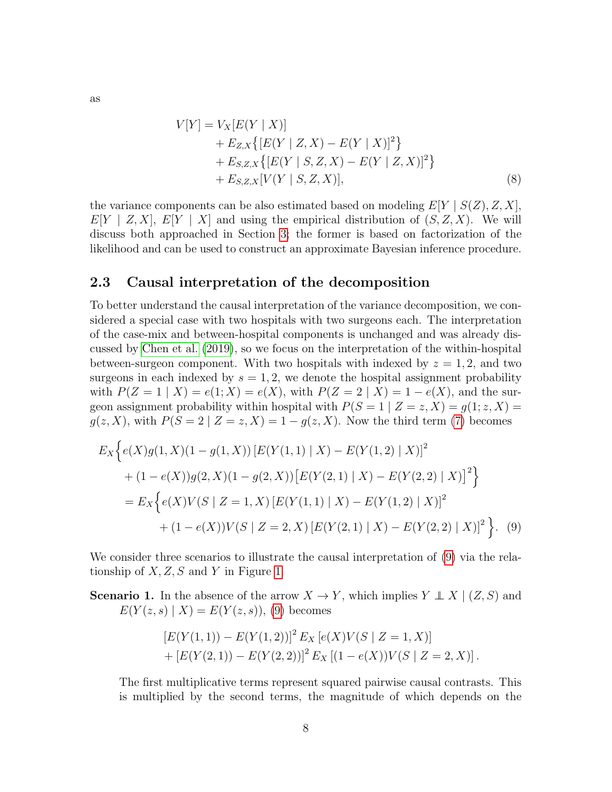<span id="page-7-2"></span>
$$
V[Y] = V_X[E(Y | X)]
$$
  
+  $E_{Z,X}\{[E(Y | Z, X) - E(Y | X)]^2\}$   
+  $E_{S,Z,X}\{[E(Y | S, Z, X) - E(Y | Z, X)]^2\}$   
+  $E_{S,Z,X}[V(Y | S, Z, X)],$  (8)

the variance components can be also estimated based on modeling  $E[Y \mid S(Z), Z, X]$ ,  $E[Y \mid Z, X], E[Y \mid X]$  and using the empirical distribution of  $(S, Z, X)$ . We will discuss both approached in Section [3;](#page-11-0) the former is based on factorization of the likelihood and can be used to construct an approximate Bayesian inference procedure.

### <span id="page-7-0"></span>2.3 Causal interpretation of the decomposition

To better understand the causal interpretation of the variance decomposition, we considered a special case with two hospitals with two surgeons each. The interpretation of the case-mix and between-hospital components is unchanged and was already discussed by [Chen et al.](#page-18-2) [\(2019\)](#page-18-2), so we focus on the interpretation of the within-hospital between-surgeon component. With two hospitals with indexed by  $z = 1, 2$ , and two surgeons in each indexed by  $s = 1, 2$ , we denote the hospital assignment probability with  $P(Z = 1 | X) = e(1; X) = e(X)$ , with  $P(Z = 2 | X) = 1 - e(X)$ , and the surgeon assignment probability within hospital with  $P(S = 1 | Z = z, X) = g(1; z, X) =$  $g(z, X)$ , with  $P(S = 2 | Z = z, X) = 1 - g(z, X)$ . Now the third term [\(7\)](#page-6-0) becomes

$$
E_X\Big\{e(X)g(1,X)(1-g(1,X))\left[E(Y(1,1) \mid X) - E(Y(1,2) \mid X)\right]^2 + (1-e(X))g(2,X)(1-g(2,X))\left[E(Y(2,1) \mid X) - E(Y(2,2) \mid X)\right]^2\Big\}
$$
  
= 
$$
E_X\Big\{e(X)V(S \mid Z=1,X)\left[E(Y(1,1) \mid X) - E(Y(1,2) \mid X)\right]^2 + (1-e(X))V(S \mid Z=2,X)\left[E(Y(2,1) \mid X) - E(Y(2,2) \mid X)\right]^2\Big\}. \tag{9}
$$

We consider three scenarios to illustrate the causal interpretation of [\(9\)](#page-7-1) via the relationship of  $X, Z, S$  and Y in Figure [1.](#page-4-0)

**Scenario 1.** In the absence of the arrow  $X \to Y$ , which implies  $Y \perp X \mid (Z, S)$  and  $E(Y(z, s) | X) = E(Y(z, s)),$  [\(9\)](#page-7-1) becomes

<span id="page-7-1"></span>
$$
[E(Y(1,1)) - E(Y(1,2))]^{2} E_X [e(X)V(S | Z = 1, X)]
$$
  
+ 
$$
[E(Y(2,1)) - E(Y(2,2))]^{2} E_X [(1 - e(X))V(S | Z = 2, X)].
$$

The first multiplicative terms represent squared pairwise causal contrasts. This is multiplied by the second terms, the magnitude of which depends on the

as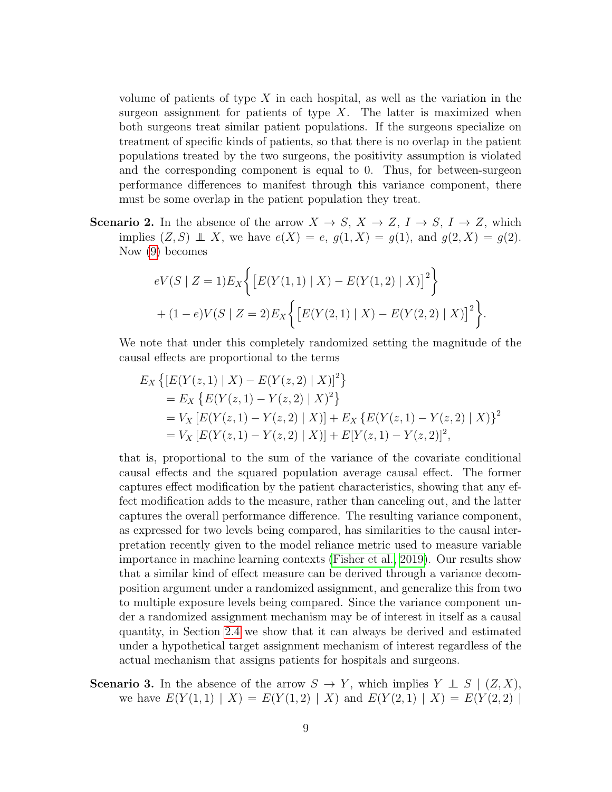volume of patients of type  $X$  in each hospital, as well as the variation in the surgeon assignment for patients of type  $X$ . The latter is maximized when both surgeons treat similar patient populations. If the surgeons specialize on treatment of specific kinds of patients, so that there is no overlap in the patient populations treated by the two surgeons, the positivity assumption is violated and the corresponding component is equal to 0. Thus, for between-surgeon performance differences to manifest through this variance component, there must be some overlap in the patient population they treat.

**Scenario 2.** In the absence of the arrow  $X \to S$ ,  $X \to Z$ ,  $I \to S$ ,  $I \to Z$ , which implies  $(Z, S) \perp X$ , we have  $e(X) = e$ ,  $g(1, X) = g(1)$ , and  $g(2, X) = g(2)$ . Now [\(9\)](#page-7-1) becomes

$$
eV(S \mid Z=1)E_X \left\{ \left[ E(Y(1,1) \mid X) - E(Y(1,2) \mid X) \right]^2 \right\}
$$
  
+ (1-e)V(S \mid Z=2)E\_X \left\{ \left[ E(Y(2,1) \mid X) - E(Y(2,2) \mid X) \right]^2 \right\}.

We note that under this completely randomized setting the magnitude of the causal effects are proportional to the terms

$$
E_X \{ [E(Y(z,1) | X) - E(Y(z,2) | X)]^2 \}
$$
  
=  $E_X \{ E(Y(z,1) - Y(z,2) | X)^2 \}$   
=  $V_X [E(Y(z,1) - Y(z,2) | X)] + E_X \{ E(Y(z,1) - Y(z,2) | X) \}^2$   
=  $V_X [E(Y(z,1) - Y(z,2) | X)] + E[Y(z,1) - Y(z,2)]^2$ ,

that is, proportional to the sum of the variance of the covariate conditional causal effects and the squared population average causal effect. The former captures effect modification by the patient characteristics, showing that any effect modification adds to the measure, rather than canceling out, and the latter captures the overall performance difference. The resulting variance component, as expressed for two levels being compared, has similarities to the causal interpretation recently given to the model reliance metric used to measure variable importance in machine learning contexts [\(Fisher et al., 2019\)](#page-19-9). Our results show that a similar kind of effect measure can be derived through a variance decomposition argument under a randomized assignment, and generalize this from two to multiple exposure levels being compared. Since the variance component under a randomized assignment mechanism may be of interest in itself as a causal quantity, in Section [2.4](#page-9-0) we show that it can always be derived and estimated under a hypothetical target assignment mechanism of interest regardless of the actual mechanism that assigns patients for hospitals and surgeons.

**Scenario 3.** In the absence of the arrow  $S \to Y$ , which implies  $Y \perp S \mid (Z, X)$ , we have  $E(Y(1,1) | X) = E(Y(1,2) | X)$  and  $E(Y(2,1) | X) = E(Y(2,2) | X)$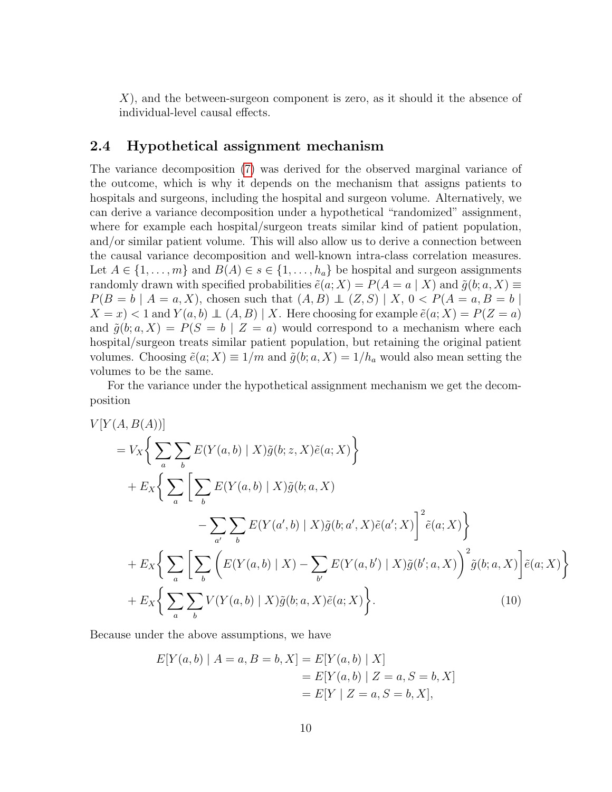X), and the between-surgeon component is zero, as it should it the absence of individual-level causal effects.

### <span id="page-9-0"></span>2.4 Hypothetical assignment mechanism

The variance decomposition [\(7\)](#page-6-0) was derived for the observed marginal variance of the outcome, which is why it depends on the mechanism that assigns patients to hospitals and surgeons, including the hospital and surgeon volume. Alternatively, we can derive a variance decomposition under a hypothetical "randomized" assignment, where for example each hospital/surgeon treats similar kind of patient population, and/or similar patient volume. This will also allow us to derive a connection between the causal variance decomposition and well-known intra-class correlation measures. Let  $A \in \{1, \ldots, m\}$  and  $B(A) \in s \in \{1, \ldots, h_a\}$  be hospital and surgeon assignments randomly drawn with specified probabilities  $\tilde{e}(a; X) = P(A = a | X)$  and  $\tilde{g}(b; a, X) \equiv$  $P(B = b \mid A = a, X)$ , chosen such that  $(A, B) \perp (Z, S) \mid X, 0 < P(A = a, B = b \mid X)$  $X = x$  < 1 and  $Y(a, b) \perp (A, B) | X$ . Here choosing for example  $\tilde{e}(a; X) = P(Z = a)$ and  $\tilde{g}(b; a, X) = P(S = b | Z = a)$  would correspond to a mechanism where each hospital/surgeon treats similar patient population, but retaining the original patient volumes. Choosing  $\tilde{e}(a; X) \equiv 1/m$  and  $\tilde{g}(b; a, X) = 1/h_a$  would also mean setting the volumes to be the same.

For the variance under the hypothetical assignment mechanism we get the decomposition

$$
V[Y(A, B(A))]
$$
  
\n
$$
= V_X \Big\{ \sum_a \sum_b E(Y(a, b) | X) \tilde{g}(b; z, X) \tilde{e}(a; X) \Big\}
$$
  
\n
$$
+ E_X \Big\{ \sum_a \Big[ \sum_b E(Y(a, b) | X) \tilde{g}(b; a, X) - \sum_{a'} \sum_b E(Y(a', b) | X) \tilde{g}(b; a', X) \tilde{e}(a'; X) \Big]^2 \tilde{e}(a; X) \Big\}
$$
  
\n
$$
+ E_X \Big\{ \sum_a \Big[ \sum_b \Big( E(Y(a, b) | X) - \sum_{b'} E(Y(a, b') | X) \tilde{g}(b; a, X) \Big)^2 \tilde{g}(b; a, X) \Big] \tilde{e}(a; X) \Big\}
$$
  
\n
$$
+ E_X \Big\{ \sum_a \sum_b V(Y(a, b) | X) \tilde{g}(b; a, X) \tilde{e}(a; X) \Big\}.
$$
  
\n(10)

Because under the above assumptions, we have

<span id="page-9-1"></span>
$$
E[Y(a, b) | A = a, B = b, X] = E[Y(a, b) | X]
$$
  
= 
$$
E[Y(a, b) | Z = a, S = b, X]
$$
  
= 
$$
E[Y | Z = a, S = b, X],
$$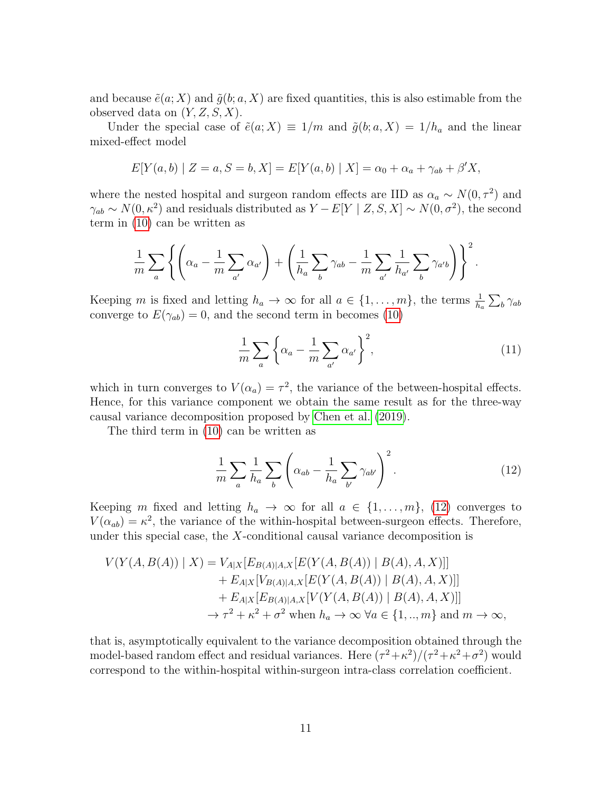and because  $\tilde{e}(a; X)$  and  $\tilde{g}(b; a, X)$  are fixed quantities, this is also estimable from the observed data on  $(Y, Z, S, X)$ .

Under the special case of  $\tilde{e}(a; X) \equiv 1/m$  and  $\tilde{g}(b; a, X) = 1/h_a$  and the linear mixed-effect model

$$
E[Y(a, b) | Z = a, S = b, X] = E[Y(a, b) | X] = \alpha_0 + \alpha_a + \gamma_{ab} + \beta'X,
$$

where the nested hospital and surgeon random effects are IID as  $\alpha_a \sim N(0, \tau^2)$  and  $\gamma_{ab} \sim N(0, \kappa^2)$  and residuals distributed as  $Y - E[Y \mid Z, S, X] \sim N(0, \sigma^2)$ , the second term in [\(10\)](#page-9-1) can be written as

$$
\frac{1}{m}\sum_{a}\left\{\left(\alpha_a-\frac{1}{m}\sum_{a'}\alpha_{a'}\right)+\left(\frac{1}{h_a}\sum_b\gamma_{ab}-\frac{1}{m}\sum_{a'}\frac{1}{h_{a'}}\sum_b\gamma_{a'b}\right)\right\}^2.
$$

Keeping m is fixed and letting  $h_a \to \infty$  for all  $a \in \{1, \ldots, m\}$ , the terms  $\frac{1}{h_a} \sum_b \gamma_{ab}$ converge to  $E(\gamma_{ab}) = 0$ , and the second term in becomes [\(10\)](#page-9-1)

$$
\frac{1}{m}\sum_{a}\left\{\alpha_a - \frac{1}{m}\sum_{a'}\alpha_{a'}\right\}^2,\tag{11}
$$

which in turn converges to  $V(\alpha_a) = \tau^2$ , the variance of the between-hospital effects. Hence, for this variance component we obtain the same result as for the three-way causal variance decomposition proposed by [Chen et al.](#page-18-2) [\(2019\)](#page-18-2).

The third term in [\(10\)](#page-9-1) can be written as

<span id="page-10-0"></span>
$$
\frac{1}{m}\sum_{a}\frac{1}{h_a}\sum_{b}\left(\alpha_{ab}-\frac{1}{h_a}\sum_{b'}\gamma_{ab'}\right)^2.
$$
 (12)

Keeping m fixed and letting  $h_a \to \infty$  for all  $a \in \{1, \ldots, m\}$ , [\(12\)](#page-10-0) converges to  $V(\alpha_{ab}) = \kappa^2$ , the variance of the within-hospital between-surgeon effects. Therefore, under this special case, the  $X$ -conditional causal variance decomposition is

$$
V(Y(A, B(A)) | X) = V_{A|X}[E_{B(A)|A,X}[E(Y(A, B(A)) | B(A), A, X)]]
$$
  
+  $E_{A|X}[V_{B(A)|A,X}[E(Y(A, B(A)) | B(A), A, X)]]$   
+  $E_{A|X}[E_{B(A)|A,X}[V(Y(A, B(A)) | B(A), A, X)]]$   
 $\rightarrow \tau^2 + \kappa^2 + \sigma^2$  when  $h_a \rightarrow \infty$   $\forall a \in \{1, ..., m\}$  and  $m \rightarrow \infty$ ,

that is, asymptotically equivalent to the variance decomposition obtained through the model-based random effect and residual variances. Here  $(\tau^2 + \kappa^2)/(\tau^2 + \kappa^2 + \sigma^2)$  would correspond to the within-hospital within-surgeon intra-class correlation coefficient.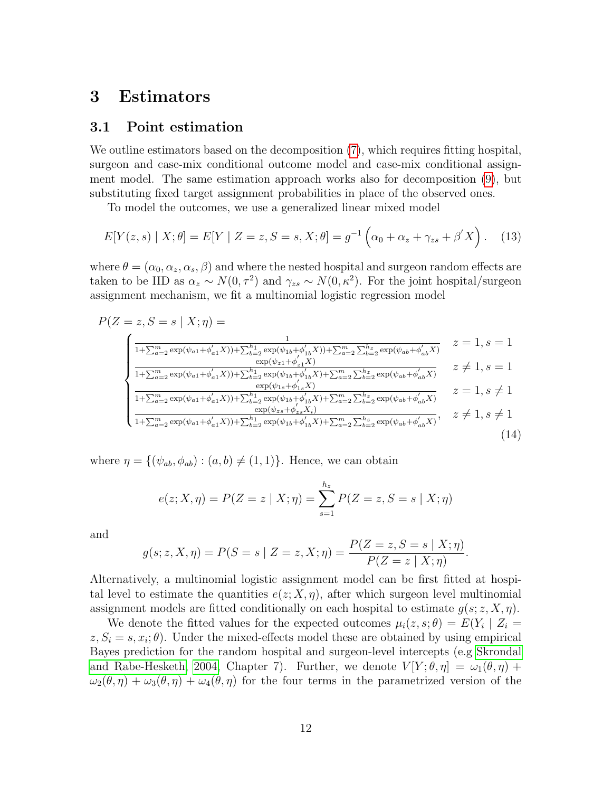# <span id="page-11-0"></span>3 Estimators

### <span id="page-11-1"></span>3.1 Point estimation

We outline estimators based on the decomposition [\(7\)](#page-6-0), which requires fitting hospital, surgeon and case-mix conditional outcome model and case-mix conditional assignment model. The same estimation approach works also for decomposition [\(9\)](#page-7-1), but substituting fixed target assignment probabilities in place of the observed ones.

To model the outcomes, we use a generalized linear mixed model

<span id="page-11-3"></span>
$$
E[Y(z, s) | X; \theta] = E[Y | Z = z, S = s, X; \theta] = g^{-1} \left( \alpha_0 + \alpha_z + \gamma_{zs} + \beta' X \right).
$$
 (13)

where  $\theta = (\alpha_0, \alpha_z, \alpha_s, \beta)$  and where the nested hospital and surgeon random effects are taken to be IID as  $\alpha_z \sim N(0, \tau^2)$  and  $\gamma_{zs} \sim N(0, \kappa^2)$ . For the joint hospital/surgeon assignment mechanism, we fit a multinomial logistic regression model

$$
P(Z = z, S = s | X; \eta) = \n\begin{cases}\n\frac{1}{1 + \sum_{a=2}^{m} \exp(\psi_{a1} + \phi'_{a1}X)) + \sum_{b=2}^{h} \exp(\psi_{1b} + \phi'_{1b}X)) + \sum_{a=2}^{m} \sum_{b=2}^{h} \exp(\psi_{ab} + \phi'_{ab}X)} & z = 1, s = 1 \\
\frac{\exp(\psi_{z1} + \phi'_{z1}X)}{1 + \sum_{a=2}^{m} \exp(\psi_{a1} + \phi'_{a1}X)) + \sum_{b=2}^{h} \exp(\psi_{1b} + \phi'_{1b}X) + \sum_{a=2}^{m} \sum_{b=2}^{h} \exp(\psi_{ab} + \phi'_{ab}X)} & z \neq 1, s = 1 \\
\frac{\exp(\psi_{1s} + \phi'_{1s}X)}{1 + \sum_{a=2}^{m} \exp(\psi_{a1} + \phi'_{a1}X)) + \sum_{b=2}^{h} \exp(\psi_{1b} + \phi'_{1b}X) + \sum_{a=2}^{m} \sum_{b=2}^{h} \exp(\psi_{ab} + \phi'_{ab}X)} & z = 1, s \neq 1 \\
\frac{\exp(\psi_{2s} + \phi'_{2s}X)}{1 + \sum_{a=2}^{m} \exp(\psi_{a1} + \phi'_{a1}X)) + \sum_{b=2}^{h} \exp(\psi_{1b} + \phi'_{1b}X) + \sum_{a=2}^{m} \sum_{b=2}^{h} \exp(\psi_{ab} + \phi'_{ab}X)} & z \neq 1, s \neq 1\n\end{cases}\n\tag{14}
$$

where  $\eta = \{(\psi_{ab}, \phi_{ab}) : (a, b) \neq (1, 1)\}\.$  Hence, we can obtain

<span id="page-11-2"></span>
$$
e(z; X, \eta) = P(Z = z | X; \eta) = \sum_{s=1}^{h_z} P(Z = z, S = s | X; \eta)
$$

and

$$
g(s; z, X, \eta) = P(S = s | Z = z, X; \eta) = \frac{P(Z = z, S = s | X; \eta)}{P(Z = z | X; \eta)}.
$$

Alternatively, a multinomial logistic assignment model can be first fitted at hospital level to estimate the quantities  $e(z; X, \eta)$ , after which surgeon level multinomial assignment models are fitted conditionally on each hospital to estimate  $g(s; z, X, \eta)$ .

We denote the fitted values for the expected outcomes  $\mu_i(z, s; \theta) = E(Y_i \mid Z_i =$  $z, S_i = s, x_i; \theta$ . Under the mixed-effects model these are obtained by using empirical Bayes prediction for the random hospital and surgeon-level intercepts (e.g [Skrondal](#page-20-10) [and Rabe-Hesketh, 2004,](#page-20-10) Chapter 7). Further, we denote  $V[Y;\theta,\eta] = \omega_1(\theta,\eta) +$  $\omega_2(\theta, \eta) + \omega_3(\theta, \eta) + \omega_4(\theta, \eta)$  for the four terms in the parametrized version of the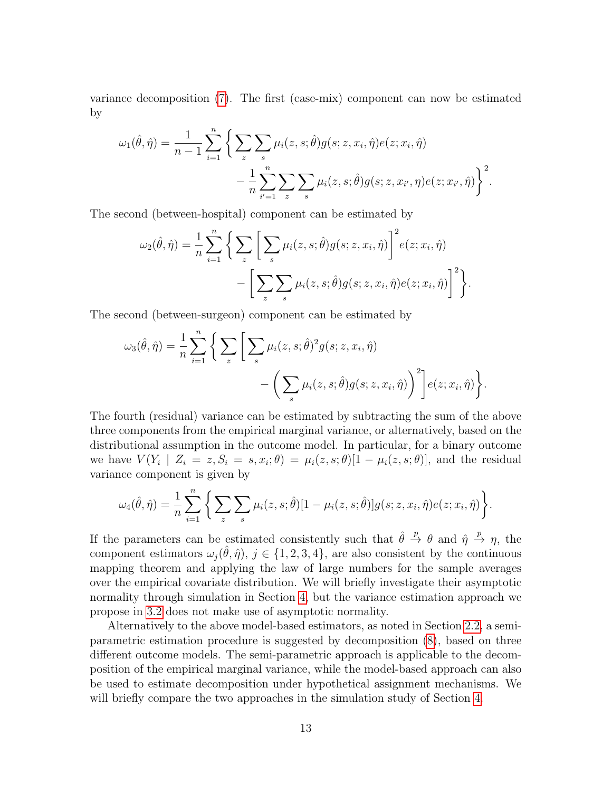variance decomposition [\(7\)](#page-6-0). The first (case-mix) component can now be estimated by

$$
\omega_1(\hat{\theta}, \hat{\eta}) = \frac{1}{n-1} \sum_{i=1}^n \left\{ \sum_z \sum_s \mu_i(z, s; \hat{\theta}) g(s; z, x_i, \hat{\eta}) e(z; x_i, \hat{\eta}) - \frac{1}{n} \sum_{i'=1}^n \sum_z \sum_s \mu_i(z, s; \hat{\theta}) g(s; z, x_{i'}, \eta) e(z; x_{i'}, \hat{\eta}) \right\}^2.
$$

The second (between-hospital) component can be estimated by

$$
\omega_2(\hat{\theta}, \hat{\eta}) = \frac{1}{n} \sum_{i=1}^n \left\{ \sum_z \left[ \sum_s \mu_i(z, s; \hat{\theta}) g(s; z, x_i, \hat{\eta}) \right]^2 e(z; x_i, \hat{\eta}) - \left[ \sum_z \sum_s \mu_i(z, s; \hat{\theta}) g(s; z, x_i, \hat{\eta}) e(z; x_i, \hat{\eta}) \right]^2 \right\}.
$$

The second (between-surgeon) component can be estimated by

$$
\omega_3(\hat{\theta}, \hat{\eta}) = \frac{1}{n} \sum_{i=1}^n \left\{ \sum_z \left[ \sum_s \mu_i(z, s; \hat{\theta})^2 g(s; z, x_i, \hat{\eta}) - \left( \sum_s \mu_i(z, s; \hat{\theta}) g(s; z, x_i, \hat{\eta}) \right)^2 \right] e(z; x_i, \hat{\eta}) \right\}.
$$

The fourth (residual) variance can be estimated by subtracting the sum of the above three components from the empirical marginal variance, or alternatively, based on the distributional assumption in the outcome model. In particular, for a binary outcome we have  $V(Y_i \mid Z_i = z, S_i = s, x_i; \theta) = \mu_i(z, s; \theta)[1 - \mu_i(z, s; \theta)],$  and the residual variance component is given by

$$
\omega_4(\hat{\theta}, \hat{\eta}) = \frac{1}{n} \sum_{i=1}^n \left\{ \sum_z \sum_s \mu_i(z, s; \hat{\theta}) [1 - \mu_i(z, s; \hat{\theta})] g(s; z, x_i, \hat{\eta}) e(z; x_i, \hat{\eta}) \right\}.
$$

If the parameters can be estimated consistently such that  $\hat{\theta} \stackrel{p}{\rightarrow} \theta$  and  $\hat{\eta} \stackrel{p}{\rightarrow} \eta$ , the component estimators  $\omega_j(\hat{\theta}, \hat{\eta}), j \in \{1, 2, 3, 4\}$ , are also consistent by the continuous mapping theorem and applying the law of large numbers for the sample averages over the empirical covariate distribution. We will briefly investigate their asymptotic normality through simulation in Section [4,](#page-13-0) but the variance estimation approach we propose in [3.2](#page-13-1) does not make use of asymptotic normality.

Alternatively to the above model-based estimators, as noted in Section [2.2,](#page-5-0) a semiparametric estimation procedure is suggested by decomposition [\(8\)](#page-7-2), based on three different outcome models. The semi-parametric approach is applicable to the decomposition of the empirical marginal variance, while the model-based approach can also be used to estimate decomposition under hypothetical assignment mechanisms. We will briefly compare the two approaches in the simulation study of Section [4.](#page-13-0)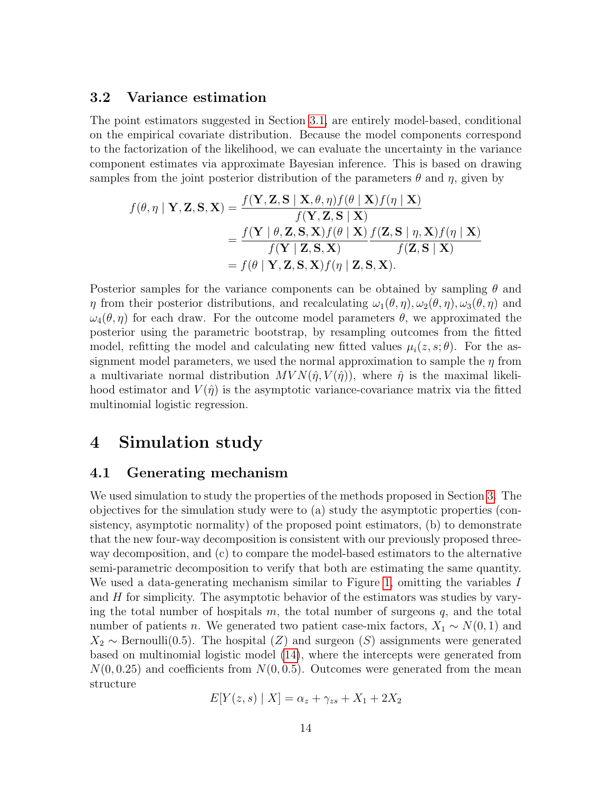### <span id="page-13-1"></span>3.2 Variance estimation

The point estimators suggested in Section [3.1,](#page-11-1) are entirely model-based, conditional on the empirical covariate distribution. Because the model components correspond to the factorization of the likelihood, we can evaluate the uncertainty in the variance component estimates via approximate Bayesian inference. This is based on drawing samples from the joint posterior distribution of the parameters  $\theta$  and  $\eta$ , given by

$$
f(\theta, \eta \mid \mathbf{Y}, \mathbf{Z}, \mathbf{S}, \mathbf{X}) = \frac{f(\mathbf{Y}, \mathbf{Z}, \mathbf{S} \mid \mathbf{X}, \theta, \eta) f(\theta \mid \mathbf{X}) f(\eta \mid \mathbf{X})}{f(\mathbf{Y}, \mathbf{Z}, \mathbf{S} \mid \mathbf{X})}
$$
  
= 
$$
\frac{f(\mathbf{Y} \mid \theta, \mathbf{Z}, \mathbf{S}, \mathbf{X}) f(\theta \mid \mathbf{X}) f(\mathbf{Z}, \mathbf{S} \mid \eta, \mathbf{X}) f(\eta \mid \mathbf{X})}{f(\mathbf{Y} \mid \mathbf{Z}, \mathbf{S}, \mathbf{X}) f(\eta \mid \mathbf{Z}, \mathbf{S}, \mathbf{X})}
$$
  
=  $f(\theta \mid \mathbf{Y}, \mathbf{Z}, \mathbf{S}, \mathbf{X}) f(\eta \mid \mathbf{Z}, \mathbf{S}, \mathbf{X}).$ 

Posterior samples for the variance components can be obtained by sampling  $\theta$  and  $\eta$  from their posterior distributions, and recalculating  $\omega_1(\theta, \eta), \omega_2(\theta, \eta), \omega_3(\theta, \eta)$  and  $\omega_4(\theta, \eta)$  for each draw. For the outcome model parameters  $\theta$ , we approximated the posterior using the parametric bootstrap, by resampling outcomes from the fitted model, refitting the model and calculating new fitted values  $\mu_i(z, s; \theta)$ . For the assignment model parameters, we used the normal approximation to sample the  $\eta$  from a multivariate normal distribution  $MVN(\hat{\eta}, V(\hat{\eta}))$ , where  $\hat{\eta}$  is the maximal likelihood estimator and  $V(\hat{\eta})$  is the asymptotic variance-covariance matrix via the fitted multinomial logistic regression.

# <span id="page-13-0"></span>4 Simulation study

### 4.1 Generating mechanism

We used simulation to study the properties of the methods proposed in Section [3.](#page-11-0) The objectives for the simulation study were to (a) study the asymptotic properties (consistency, asymptotic normality) of the proposed point estimators, (b) to demonstrate that the new four-way decomposition is consistent with our previously proposed threeway decomposition, and (c) to compare the model-based estimators to the alternative semi-parametric decomposition to verify that both are estimating the same quantity. We used a data-generating mechanism similar to Figure [1,](#page-4-0) omitting the variables I and  $H$  for simplicity. The asymptotic behavior of the estimators was studies by varying the total number of hospitals  $m$ , the total number of surgeons  $q$ , and the total number of patients *n*. We generated two patient case-mix factors,  $X_1 \sim N(0, 1)$  and  $X_2 \sim \text{Bernoulli}(0.5)$ . The hospital  $(Z)$  and surgeon  $(S)$  assignments were generated based on multinomial logistic model [\(14\)](#page-11-2), where the intercepts were generated from  $N(0, 0.25)$  and coefficients from  $N(0, 0.5)$ . Outcomes were generated from the mean structure

$$
E[Y(z,s) | X] = \alpha_z + \gamma_{zs} + X_1 + 2X_2
$$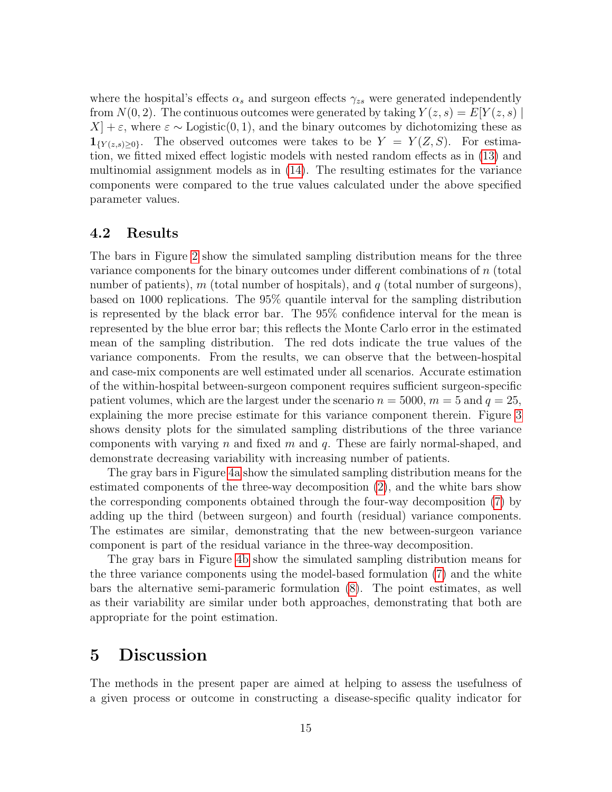where the hospital's effects  $\alpha_s$  and surgeon effects  $\gamma_{zs}$  were generated independently from  $N(0, 2)$ . The continuous outcomes were generated by taking  $Y(z, s) = E[Y(z, s)]$  $X$  +  $\varepsilon$ , where  $\varepsilon \sim$  Logistic(0, 1), and the binary outcomes by dichotomizing these as  $\mathbf{1}_{\{Y(z,s)>0\}}$ . The observed outcomes were takes to be  $Y = Y(Z, S)$ . For estimation, we fitted mixed effect logistic models with nested random effects as in [\(13\)](#page-11-3) and multinomial assignment models as in [\(14\)](#page-11-2). The resulting estimates for the variance components were compared to the true values calculated under the above specified parameter values.

### 4.2 Results

The bars in Figure [2](#page-15-0) show the simulated sampling distribution means for the three variance components for the binary outcomes under different combinations of n (total number of patients), m (total number of hospitals), and  $q$  (total number of surgeons), based on 1000 replications. The 95% quantile interval for the sampling distribution is represented by the black error bar. The 95% confidence interval for the mean is represented by the blue error bar; this reflects the Monte Carlo error in the estimated mean of the sampling distribution. The red dots indicate the true values of the variance components. From the results, we can observe that the between-hospital and case-mix components are well estimated under all scenarios. Accurate estimation of the within-hospital between-surgeon component requires sufficient surgeon-specific patient volumes, which are the largest under the scenario  $n = 5000$ ,  $m = 5$  and  $q = 25$ , explaining the more precise estimate for this variance component therein. Figure [3](#page-16-0) shows density plots for the simulated sampling distributions of the three variance components with varying n and fixed m and q. These are fairly normal-shaped, and demonstrate decreasing variability with increasing number of patients.

The gray bars in Figure [4a](#page-17-0) show the simulated sampling distribution means for the estimated components of the three-way decomposition [\(2\)](#page-4-1), and the white bars show the corresponding components obtained through the four-way decomposition [\(7\)](#page-6-0) by adding up the third (between surgeon) and fourth (residual) variance components. The estimates are similar, demonstrating that the new between-surgeon variance component is part of the residual variance in the three-way decomposition.

The gray bars in Figure [4b](#page-17-1) show the simulated sampling distribution means for the three variance components using the model-based formulation [\(7\)](#page-6-0) and the white bars the alternative semi-parameric formulation [\(8\)](#page-7-2). The point estimates, as well as their variability are similar under both approaches, demonstrating that both are appropriate for the point estimation.

## <span id="page-14-0"></span>5 Discussion

The methods in the present paper are aimed at helping to assess the usefulness of a given process or outcome in constructing a disease-specific quality indicator for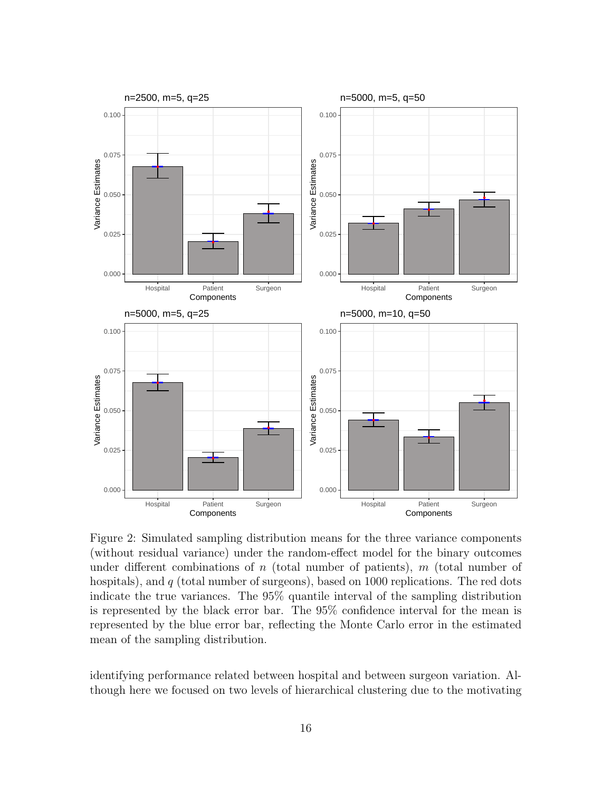<span id="page-15-0"></span>

Figure 2: Simulated sampling distribution means for the three variance components (without residual variance) under the random-effect model for the binary outcomes under different combinations of n (total number of patients),  $m$  (total number of hospitals), and  $q$  (total number of surgeons), based on 1000 replications. The red dots indicate the true variances. The 95% quantile interval of the sampling distribution is represented by the black error bar. The 95% confidence interval for the mean is represented by the blue error bar, reflecting the Monte Carlo error in the estimated mean of the sampling distribution.

identifying performance related between hospital and between surgeon variation. Although here we focused on two levels of hierarchical clustering due to the motivating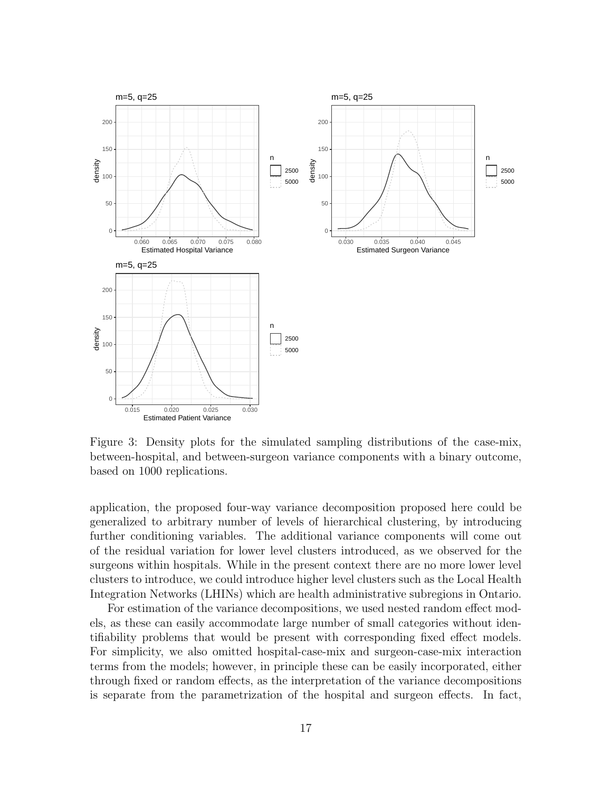<span id="page-16-0"></span>

Figure 3: Density plots for the simulated sampling distributions of the case-mix, between-hospital, and between-surgeon variance components with a binary outcome, based on 1000 replications.

application, the proposed four-way variance decomposition proposed here could be generalized to arbitrary number of levels of hierarchical clustering, by introducing further conditioning variables. The additional variance components will come out of the residual variation for lower level clusters introduced, as we observed for the surgeons within hospitals. While in the present context there are no more lower level clusters to introduce, we could introduce higher level clusters such as the Local Health Integration Networks (LHINs) which are health administrative subregions in Ontario.

For estimation of the variance decompositions, we used nested random effect models, as these can easily accommodate large number of small categories without identifiability problems that would be present with corresponding fixed effect models. For simplicity, we also omitted hospital-case-mix and surgeon-case-mix interaction terms from the models; however, in principle these can be easily incorporated, either through fixed or random effects, as the interpretation of the variance decompositions is separate from the parametrization of the hospital and surgeon effects. In fact,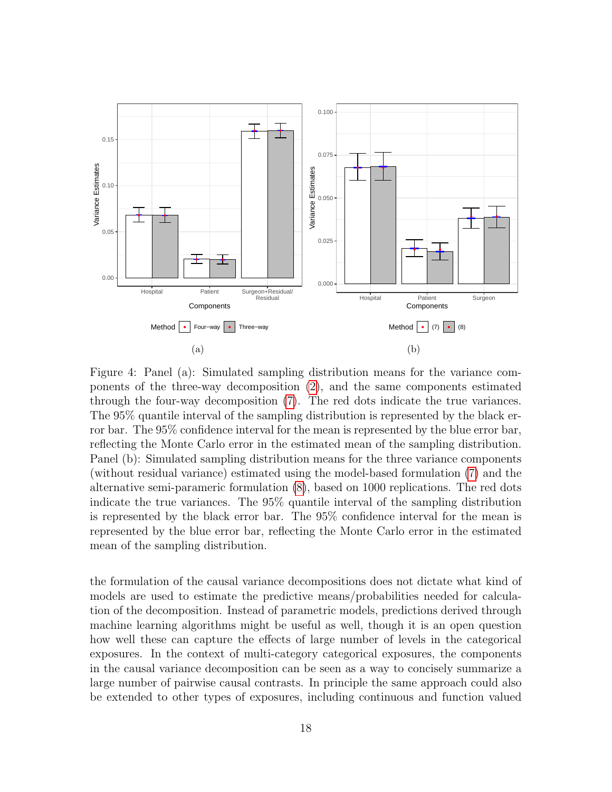<span id="page-17-0"></span>

<span id="page-17-1"></span>Figure 4: Panel (a): Simulated sampling distribution means for the variance components of the three-way decomposition [\(2\)](#page-4-1), and the same components estimated through the four-way decomposition [\(7\)](#page-6-0). The red dots indicate the true variances. The 95% quantile interval of the sampling distribution is represented by the black error bar. The 95% confidence interval for the mean is represented by the blue error bar, reflecting the Monte Carlo error in the estimated mean of the sampling distribution. Panel (b): Simulated sampling distribution means for the three variance components (without residual variance) estimated using the model-based formulation [\(7\)](#page-6-0) and the alternative semi-parameric formulation [\(8\)](#page-7-2), based on 1000 replications. The red dots indicate the true variances. The 95% quantile interval of the sampling distribution is represented by the black error bar. The 95% confidence interval for the mean is represented by the blue error bar, reflecting the Monte Carlo error in the estimated mean of the sampling distribution.

the formulation of the causal variance decompositions does not dictate what kind of models are used to estimate the predictive means/probabilities needed for calculation of the decomposition. Instead of parametric models, predictions derived through machine learning algorithms might be useful as well, though it is an open question how well these can capture the effects of large number of levels in the categorical exposures. In the context of multi-category categorical exposures, the components in the causal variance decomposition can be seen as a way to concisely summarize a large number of pairwise causal contrasts. In principle the same approach could also be extended to other types of exposures, including continuous and function valued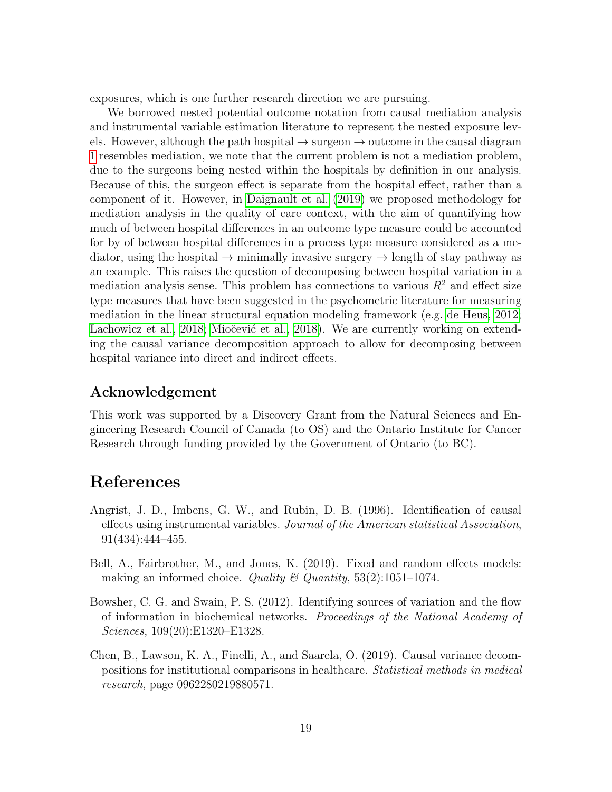exposures, which is one further research direction we are pursuing.

We borrowed nested potential outcome notation from causal mediation analysis and instrumental variable estimation literature to represent the nested exposure levels. However, although the path hospital  $\rightarrow$  surgeon  $\rightarrow$  outcome in the causal diagram [1](#page-4-0) resembles mediation, we note that the current problem is not a mediation problem, due to the surgeons being nested within the hospitals by definition in our analysis. Because of this, the surgeon effect is separate from the hospital effect, rather than a component of it. However, in [Daignault et al.](#page-19-10) [\(2019\)](#page-19-10) we proposed methodology for mediation analysis in the quality of care context, with the aim of quantifying how much of between hospital differences in an outcome type measure could be accounted for by of between hospital differences in a process type measure considered as a mediator, using the hospital  $\rightarrow$  minimally invasive surgery  $\rightarrow$  length of stay pathway as an example. This raises the question of decomposing between hospital variation in a mediation analysis sense. This problem has connections to various  $R<sup>2</sup>$  and effect size type measures that have been suggested in the psychometric literature for measuring mediation in the linear structural equation modeling framework (e.g. [de Heus, 2012;](#page-19-11) [Lachowicz et al., 2018;](#page-19-12) Miočević et al., 2018). We are currently working on extending the causal variance decomposition approach to allow for decomposing between hospital variance into direct and indirect effects.

### Acknowledgement

This work was supported by a Discovery Grant from the Natural Sciences and Engineering Research Council of Canada (to OS) and the Ontario Institute for Cancer Research through funding provided by the Government of Ontario (to BC).

# References

- <span id="page-18-3"></span>Angrist, J. D., Imbens, G. W., and Rubin, D. B. (1996). Identification of causal effects using instrumental variables. Journal of the American statistical Association, 91(434):444–455.
- <span id="page-18-0"></span>Bell, A., Fairbrother, M., and Jones, K. (2019). Fixed and random effects models: making an informed choice. Quality  $\mathcal{B}$  Quantity, 53(2):1051-1074.
- <span id="page-18-1"></span>Bowsher, C. G. and Swain, P. S. (2012). Identifying sources of variation and the flow of information in biochemical networks. Proceedings of the National Academy of Sciences, 109(20):E1320–E1328.
- <span id="page-18-2"></span>Chen, B., Lawson, K. A., Finelli, A., and Saarela, O. (2019). Causal variance decompositions for institutional comparisons in healthcare. Statistical methods in medical research, page 0962280219880571.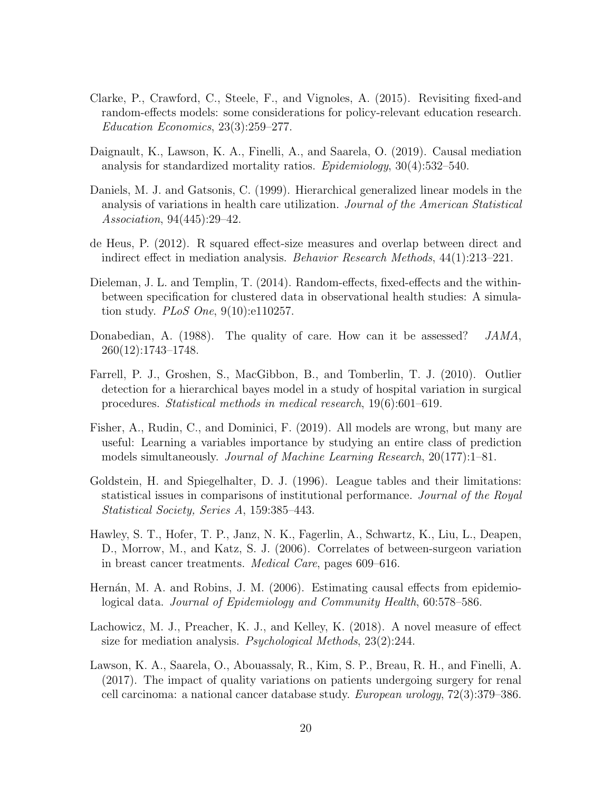- <span id="page-19-7"></span>Clarke, P., Crawford, C., Steele, F., and Vignoles, A. (2015). Revisiting fixed-and random-effects models: some considerations for policy-relevant education research. Education Economics, 23(3):259–277.
- <span id="page-19-10"></span>Daignault, K., Lawson, K. A., Finelli, A., and Saarela, O. (2019). Causal mediation analysis for standardized mortality ratios. Epidemiology, 30(4):532–540.
- <span id="page-19-0"></span>Daniels, M. J. and Gatsonis, C. (1999). Hierarchical generalized linear models in the analysis of variations in health care utilization. Journal of the American Statistical Association, 94(445):29–42.
- <span id="page-19-11"></span>de Heus, P. (2012). R squared effect-size measures and overlap between direct and indirect effect in mediation analysis. Behavior Research Methods, 44(1):213–221.
- <span id="page-19-6"></span>Dieleman, J. L. and Templin, T. (2014). Random-effects, fixed-effects and the withinbetween specification for clustered data in observational health studies: A simulation study. PLoS One, 9(10):e110257.
- <span id="page-19-5"></span>Donabedian, A. (1988). The quality of care. How can it be assessed? JAMA, 260(12):1743–1748.
- <span id="page-19-2"></span>Farrell, P. J., Groshen, S., MacGibbon, B., and Tomberlin, T. J. (2010). Outlier detection for a hierarchical bayes model in a study of hospital variation in surgical procedures. Statistical methods in medical research, 19(6):601–619.
- <span id="page-19-9"></span>Fisher, A., Rudin, C., and Dominici, F. (2019). All models are wrong, but many are useful: Learning a variables importance by studying an entire class of prediction models simultaneously. Journal of Machine Learning Research, 20(177):1–81.
- <span id="page-19-1"></span>Goldstein, H. and Spiegelhalter, D. J. (1996). League tables and their limitations: statistical issues in comparisons of institutional performance. Journal of the Royal Statistical Society, Series A, 159:385–443.
- <span id="page-19-3"></span>Hawley, S. T., Hofer, T. P., Janz, N. K., Fagerlin, A., Schwartz, K., Liu, L., Deapen, D., Morrow, M., and Katz, S. J. (2006). Correlates of between-surgeon variation in breast cancer treatments. Medical Care, pages 609–616.
- <span id="page-19-8"></span>Hernán, M. A. and Robins, J. M. (2006). Estimating causal effects from epidemiological data. Journal of Epidemiology and Community Health, 60:578–586.
- <span id="page-19-12"></span>Lachowicz, M. J., Preacher, K. J., and Kelley, K. (2018). A novel measure of effect size for mediation analysis. Psychological Methods, 23(2):244.
- <span id="page-19-4"></span>Lawson, K. A., Saarela, O., Abouassaly, R., Kim, S. P., Breau, R. H., and Finelli, A. (2017). The impact of quality variations on patients undergoing surgery for renal cell carcinoma: a national cancer database study. European urology, 72(3):379–386.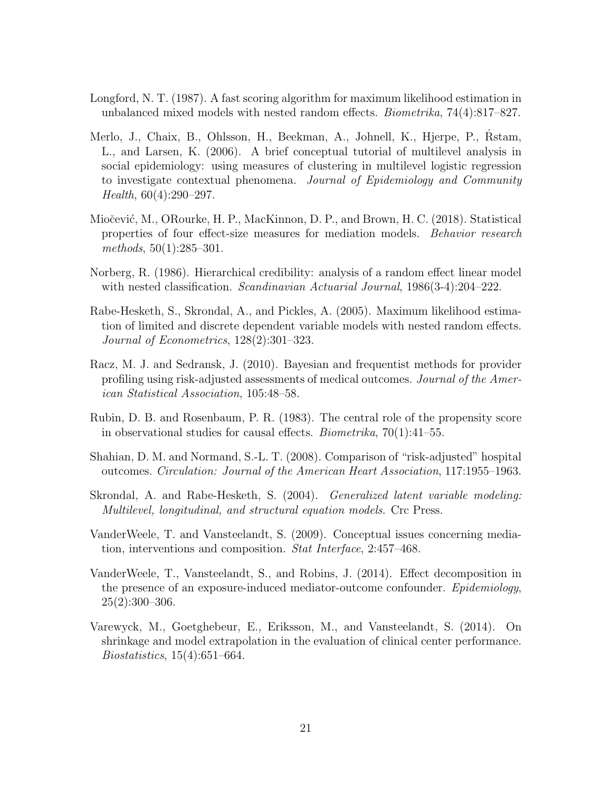- <span id="page-20-3"></span>Longford, N. T. (1987). A fast scoring algorithm for maximum likelihood estimation in unbalanced mixed models with nested random effects. Biometrika, 74(4):817–827.
- <span id="page-20-6"></span>Merlo, J., Chaix, B., Ohlsson, H., Beekman, A., Johnell, K., Hjerpe, P., Rstam, L., and Larsen, K. (2006). A brief conceptual tutorial of multilevel analysis in social epidemiology: using measures of clustering in multilevel logistic regression to investigate contextual phenomena. Journal of Epidemiology and Community Health, 60(4):290–297.
- <span id="page-20-11"></span>Miočević, M., ORourke, H. P., MacKinnon, D. P., and Brown, H. C. (2018). Statistical properties of four effect-size measures for mediation models. Behavior research methods, 50(1):285–301.
- <span id="page-20-2"></span>Norberg, R. (1986). Hierarchical credibility: analysis of a random effect linear model with nested classification. *Scandinavian Actuarial Journal*, 1986(3-4):204–222.
- <span id="page-20-4"></span>Rabe-Hesketh, S., Skrondal, A., and Pickles, A. (2005). Maximum likelihood estimation of limited and discrete dependent variable models with nested random effects. Journal of Econometrics, 128(2):301–323.
- <span id="page-20-1"></span>Racz, M. J. and Sedransk, J. (2010). Bayesian and frequentist methods for provider profiling using risk-adjusted assessments of medical outcomes. Journal of the American Statistical Association, 105:48–58.
- <span id="page-20-9"></span>Rubin, D. B. and Rosenbaum, P. R. (1983). The central role of the propensity score in observational studies for causal effects. Biometrika, 70(1):41–55.
- <span id="page-20-0"></span>Shahian, D. M. and Normand, S.-L. T. (2008). Comparison of "risk-adjusted" hospital outcomes. Circulation: Journal of the American Heart Association, 117:1955–1963.
- <span id="page-20-10"></span>Skrondal, A. and Rabe-Hesketh, S. (2004). Generalized latent variable modeling: Multilevel, longitudinal, and structural equation models. Crc Press.
- <span id="page-20-7"></span>VanderWeele, T. and Vansteelandt, S. (2009). Conceptual issues concerning mediation, interventions and composition. Stat Interface, 2:457–468.
- <span id="page-20-8"></span>VanderWeele, T., Vansteelandt, S., and Robins, J. (2014). Effect decomposition in the presence of an exposure-induced mediator-outcome confounder. Epidemiology,  $25(2):300-306.$
- <span id="page-20-5"></span>Varewyck, M., Goetghebeur, E., Eriksson, M., and Vansteelandt, S. (2014). On shrinkage and model extrapolation in the evaluation of clinical center performance. Biostatistics, 15(4):651–664.